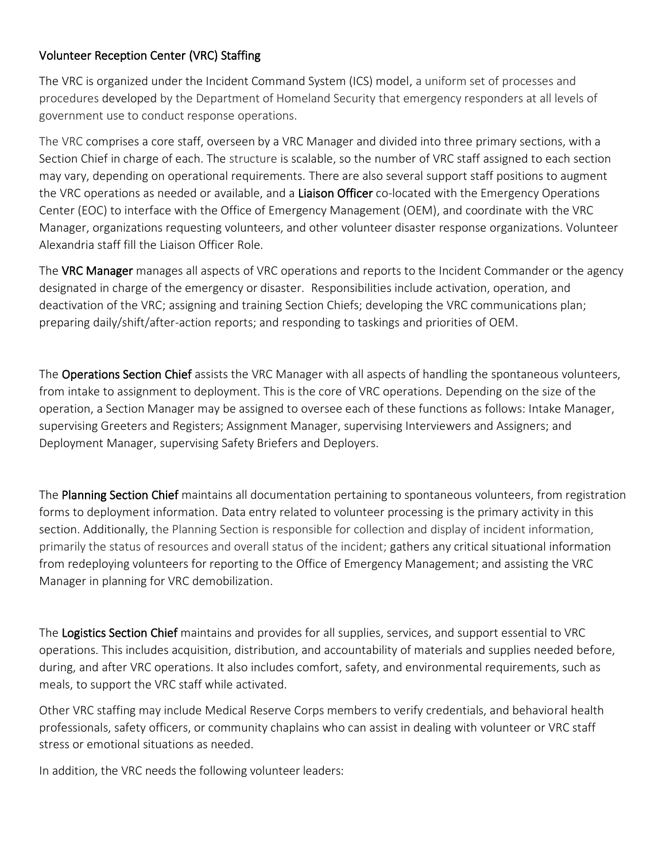## Volunteer Reception Center (VRC) Staffing

The VRC is organized under the Incident Command System (ICS) model, a uniform set of processes and procedures developed by the Department of Homeland Security that emergency responders at all levels of government use to conduct response operations.

The VRC comprises a core staff, overseen by a VRC Manager and divided into three primary sections, with a Section Chief in charge of each. The structure is scalable, so the number of VRC staff assigned to each section may vary, depending on operational requirements. There are also several support staff positions to augment the VRC operations as needed or available, and a Liaison Officer co-located with the Emergency Operations Center (EOC) to interface with the Office of Emergency Management (OEM), and coordinate with the VRC Manager, organizations requesting volunteers, and other volunteer disaster response organizations. Volunteer Alexandria staff fill the Liaison Officer Role.

The VRC Manager manages all aspects of VRC operations and reports to the Incident Commander or the agency designated in charge of the emergency or disaster. Responsibilities include activation, operation, and deactivation of the VRC; assigning and training Section Chiefs; developing the VRC communications plan; preparing daily/shift/after-action reports; and responding to taskings and priorities of OEM.

The Operations Section Chief assists the VRC Manager with all aspects of handling the spontaneous volunteers, from intake to assignment to deployment. This is the core of VRC operations. Depending on the size of the operation, a Section Manager may be assigned to oversee each of these functions as follows: Intake Manager, supervising Greeters and Registers; Assignment Manager, supervising Interviewers and Assigners; and Deployment Manager, supervising Safety Briefers and Deployers.

The Planning Section Chief maintains all documentation pertaining to spontaneous volunteers, from registration forms to deployment information. Data entry related to volunteer processing is the primary activity in this section. Additionally, the Planning Section is responsible for collection and display of incident information, primarily the status of resources and overall status of the incident; gathers any critical situational information from redeploying volunteers for reporting to the Office of Emergency Management; and assisting the VRC Manager in planning for VRC demobilization.

The Logistics Section Chief maintains and provides for all supplies, services, and support essential to VRC operations. This includes acquisition, distribution, and accountability of materials and supplies needed before, during, and after VRC operations. It also includes comfort, safety, and environmental requirements, such as meals, to support the VRC staff while activated.

Other VRC staffing may include Medical Reserve Corps members to verify credentials, and behavioral health professionals, safety officers, or community chaplains who can assist in dealing with volunteer or VRC staff stress or emotional situations as needed.

In addition, the VRC needs the following volunteer leaders: